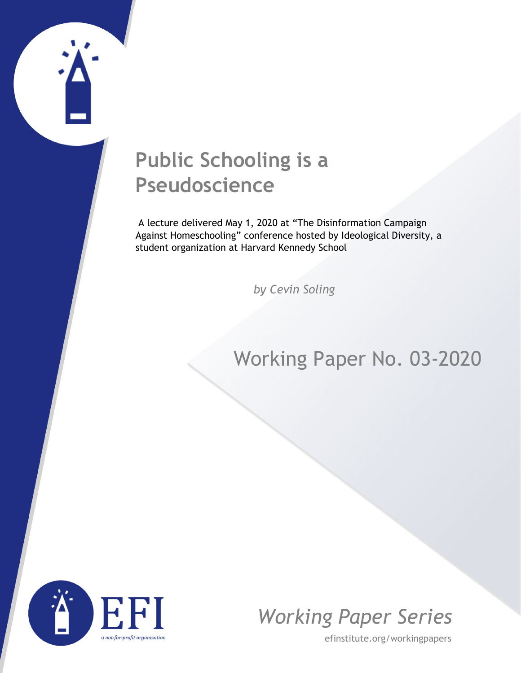# **Public Schooling is a Pseudoscience**

A lecture delivered May 1, 2020 at "The Disinformation Campaign Against Homeschooling" conference hosted by Ideological Diversity, a student organization at Harvard Kennedy School

*by Cevin Soling*

## Working Paper No. 03-2020





efinstitute.org/workingpapers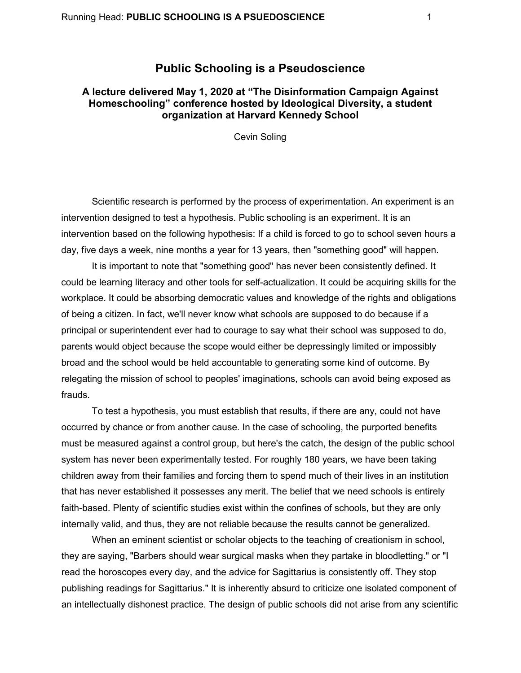### **Public Schooling is a Pseudoscience**

#### **A lecture delivered May 1, 2020 at "The Disinformation Campaign Against Homeschooling" conference hosted by Ideological Diversity, a student organization at Harvard Kennedy School**

Cevin Soling

Scientific research is performed by the process of experimentation. An experiment is an intervention designed to test a hypothesis. Public schooling is an experiment. It is an intervention based on the following hypothesis: If a child is forced to go to school seven hours a day, five days a week, nine months a year for 13 years, then "something good" will happen.

It is important to note that "something good" has never been consistently defined. It could be learning literacy and other tools for self-actualization. It could be acquiring skills for the workplace. It could be absorbing democratic values and knowledge of the rights and obligations of being a citizen. In fact, we'll never know what schools are supposed to do because if a principal or superintendent ever had to courage to say what their school was supposed to do, parents would object because the scope would either be depressingly limited or impossibly broad and the school would be held accountable to generating some kind of outcome. By relegating the mission of school to peoples' imaginations, schools can avoid being exposed as frauds.

To test a hypothesis, you must establish that results, if there are any, could not have occurred by chance or from another cause. In the case of schooling, the purported benefits must be measured against a control group, but here's the catch, the design of the public school system has never been experimentally tested. For roughly 180 years, we have been taking children away from their families and forcing them to spend much of their lives in an institution that has never established it possesses any merit. The belief that we need schools is entirely faith-based. Plenty of scientific studies exist within the confines of schools, but they are only internally valid, and thus, they are not reliable because the results cannot be generalized.

When an eminent scientist or scholar objects to the teaching of creationism in school, they are saying, "Barbers should wear surgical masks when they partake in bloodletting." or "I read the horoscopes every day, and the advice for Sagittarius is consistently off. They stop publishing readings for Sagittarius." It is inherently absurd to criticize one isolated component of an intellectually dishonest practice. The design of public schools did not arise from any scientific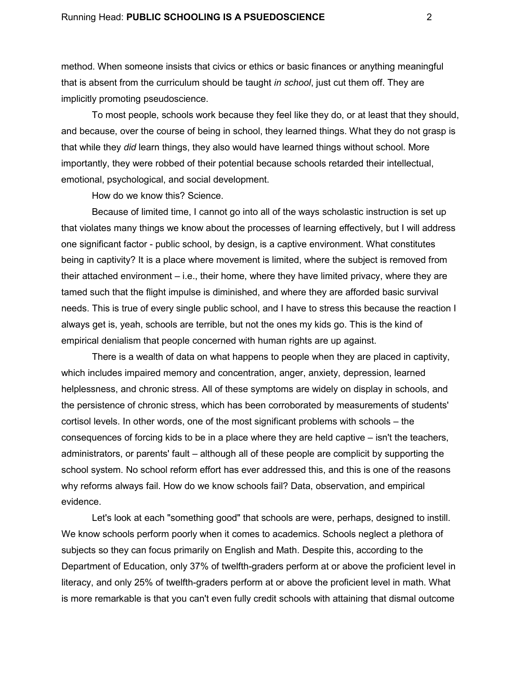method. When someone insists that civics or ethics or basic finances or anything meaningful that is absent from the curriculum should be taught *in school*, just cut them off. They are implicitly promoting pseudoscience.

To most people, schools work because they feel like they do, or at least that they should, and because, over the course of being in school, they learned things. What they do not grasp is that while they *did* learn things, they also would have learned things without school. More importantly, they were robbed of their potential because schools retarded their intellectual, emotional, psychological, and social development.

How do we know this? Science.

Because of limited time, I cannot go into all of the ways scholastic instruction is set up that violates many things we know about the processes of learning effectively, but I will address one significant factor - public school, by design, is a captive environment. What constitutes being in captivity? It is a place where movement is limited, where the subject is removed from their attached environment – i.e., their home, where they have limited privacy, where they are tamed such that the flight impulse is diminished, and where they are afforded basic survival needs. This is true of every single public school, and I have to stress this because the reaction I always get is, yeah, schools are terrible, but not the ones my kids go. This is the kind of empirical denialism that people concerned with human rights are up against.

There is a wealth of data on what happens to people when they are placed in captivity, which includes impaired memory and concentration, anger, anxiety, depression, learned helplessness, and chronic stress. All of these symptoms are widely on display in schools, and the persistence of chronic stress, which has been corroborated by measurements of students' cortisol levels. In other words, one of the most significant problems with schools – the consequences of forcing kids to be in a place where they are held captive – isn't the teachers, administrators, or parents' fault – although all of these people are complicit by supporting the school system. No school reform effort has ever addressed this, and this is one of the reasons why reforms always fail. How do we know schools fail? Data, observation, and empirical evidence.

Let's look at each "something good" that schools are were, perhaps, designed to instill. We know schools perform poorly when it comes to academics. Schools neglect a plethora of subjects so they can focus primarily on English and Math. Despite this, according to the Department of Education, only 37% of twelfth-graders perform at or above the proficient level in literacy, and only 25% of twelfth-graders perform at or above the proficient level in math. What is more remarkable is that you can't even fully credit schools with attaining that dismal outcome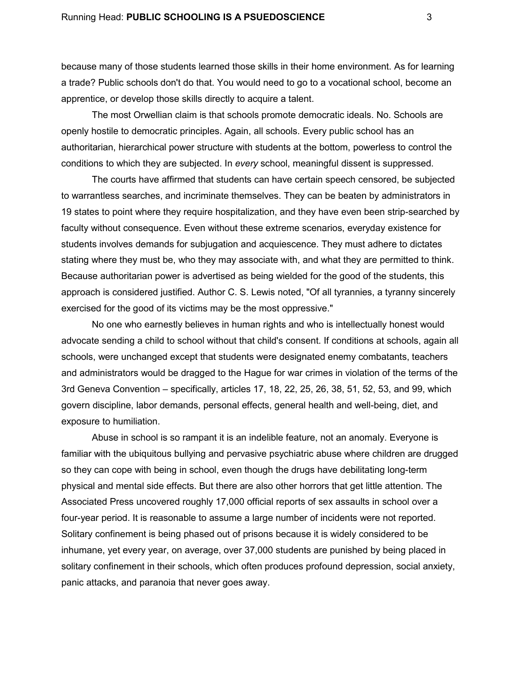because many of those students learned those skills in their home environment. As for learning a trade? Public schools don't do that. You would need to go to a vocational school, become an apprentice, or develop those skills directly to acquire a talent.

The most Orwellian claim is that schools promote democratic ideals. No. Schools are openly hostile to democratic principles. Again, all schools. Every public school has an authoritarian, hierarchical power structure with students at the bottom, powerless to control the conditions to which they are subjected. In *every* school, meaningful dissent is suppressed.

The courts have affirmed that students can have certain speech censored, be subjected to warrantless searches, and incriminate themselves. They can be beaten by administrators in 19 states to point where they require hospitalization, and they have even been strip-searched by faculty without consequence. Even without these extreme scenarios, everyday existence for students involves demands for subjugation and acquiescence. They must adhere to dictates stating where they must be, who they may associate with, and what they are permitted to think. Because authoritarian power is advertised as being wielded for the good of the students, this approach is considered justified. Author C. S. Lewis noted, "Of all tyrannies, a tyranny sincerely exercised for the good of its victims may be the most oppressive."

No one who earnestly believes in human rights and who is intellectually honest would advocate sending a child to school without that child's consent. If conditions at schools, again all schools, were unchanged except that students were designated enemy combatants, teachers and administrators would be dragged to the Hague for war crimes in violation of the terms of the 3rd Geneva Convention – specifically, articles 17, 18, 22, 25, 26, 38, 51, 52, 53, and 99, which govern discipline, labor demands, personal effects, general health and well-being, diet, and exposure to humiliation.

Abuse in school is so rampant it is an indelible feature, not an anomaly. Everyone is familiar with the ubiquitous bullying and pervasive psychiatric abuse where children are drugged so they can cope with being in school, even though the drugs have debilitating long-term physical and mental side effects. But there are also other horrors that get little attention. The Associated Press uncovered roughly 17,000 official reports of sex assaults in school over a four-year period. It is reasonable to assume a large number of incidents were not reported. Solitary confinement is being phased out of prisons because it is widely considered to be inhumane, yet every year, on average, over 37,000 students are punished by being placed in solitary confinement in their schools, which often produces profound depression, social anxiety, panic attacks, and paranoia that never goes away.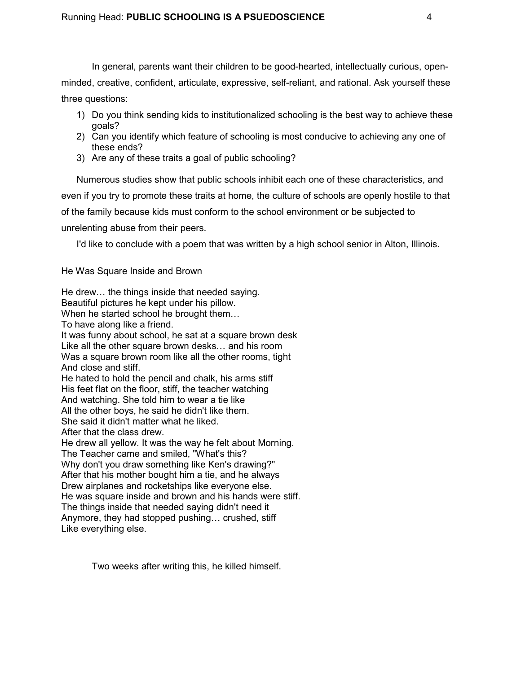In general, parents want their children to be good-hearted, intellectually curious, openminded, creative, confident, articulate, expressive, self-reliant, and rational. Ask yourself these three questions:

- 1) Do you think sending kids to institutionalized schooling is the best way to achieve these goals?
- 2) Can you identify which feature of schooling is most conducive to achieving any one of these ends?
- 3) Are any of these traits a goal of public schooling?

Numerous studies show that public schools inhibit each one of these characteristics, and even if you try to promote these traits at home, the culture of schools are openly hostile to that of the family because kids must conform to the school environment or be subjected to unrelenting abuse from their peers.

I'd like to conclude with a poem that was written by a high school senior in Alton, Illinois.

He Was Square Inside and Brown

He drew… the things inside that needed saying. Beautiful pictures he kept under his pillow. When he started school he brought them… To have along like a friend. It was funny about school, he sat at a square brown desk Like all the other square brown desks… and his room Was a square brown room like all the other rooms, tight And close and stiff. He hated to hold the pencil and chalk, his arms stiff His feet flat on the floor, stiff, the teacher watching And watching. She told him to wear a tie like All the other boys, he said he didn't like them. She said it didn't matter what he liked. After that the class drew. He drew all yellow. It was the way he felt about Morning. The Teacher came and smiled, "What's this? Why don't you draw something like Ken's drawing?" After that his mother bought him a tie, and he always Drew airplanes and rocketships like everyone else. He was square inside and brown and his hands were stiff. The things inside that needed saying didn't need it Anymore, they had stopped pushing… crushed, stiff Like everything else.

Two weeks after writing this, he killed himself.